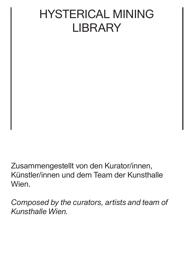## HYSTERICAL MINING **LIBRARY**

Zusammengestellt von den Kurator/innen, Künstler/innen und dem Team der Kunsthalle Wien.

*Composed by the curators, artists and team of Kunsthalle Wien.*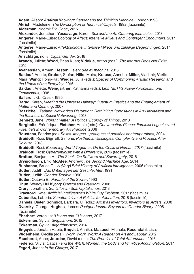**Adam**, Alison: *Artificial Knowing: Gender and the Thinking Machine*, London 1998 **Akrich**, Madeleine: *The De-scription of Technical Objects*, 1992 (facsimilé) **Alderman**, Naomi: *Die Gabe*, 2016

**Alexander**, Jonathan; **Yescavage**, Karen: *Sex and the AI. Queering intimacies*, 2018 **Angerer**, Marie-Luise: *Ecology of Affect: Intensive Milieus and Contingent Encounters*, 2017 (facsimilé)

**Angerer**, Marie-Luise: *Affektökologie: Intensive Milieus und zufällige Begegnungen*, 2017 (facsimilé)

**Anschläge**, no. 8: *Digital Gender*, 2018

**Aranda**, Julieta; **Wood**, Brian Kuan; **Vidokle**, Anton (eds.): *The Internet Does Not Exist*, 2015

**Avanessian**, Armen; **Hester**, Helen: *dea ex machina*, 2015

**Baldauf**, Anette; **Gruber**, Stefan; **Hille**, Moira; **Krauss**, Annette; **Miller**, Vladimir; **Verlic**, Mara; **Wang**; Hong-Kai; **Wieger**, Julia (eds.): *Spaces of Commoning Artistic Research and the Utopia of the Everyday*, 2016

**Baldauf**, Anette; **Weingartner**, Katharina (eds.): *Lips Tits Hits Power? Popkultur und Feminismus*, 1998

**Ballard**, J.G.: *Crash*, 1995

**Barad**, Karen, *Meeting the Universe Halfway: Quantum Physics and the Entanglement of Matter and Meaning*, 2007

**Bazzicheli**, Tatiana: *Networked Disruption: Rethinking Oppositions in Art Hacktivism and the Business of Social Networking*, 2013

**Bennett**, Jane: *Vibrant Matter. A Political Ecology of Things*, 2010

**Bergholtz**, Frédérique; **Fletcher**, Annie (eds.): *Conversation Pieces: Feminist Legacies and Potentials in Contemporary Art Practice*, 2008

**Bousteau**, Fabrice (ed): *Sexes. Images – pratiques et pensées contemporaines*, 2004 **Braidotti**, Rosi; **Bignall**, Simone: *Posthuman Ecologies: Complexity and Process After Deleuze*, 2018

**Braidotti**, Rosi: *Becoming World Together: On the Crisis of Human, 2017* (facsimilé) **Braidotti**, Rosi: *Cyberfeminism with a Difference*, 2016 (facsimilé)

**Bratton**, Benjamin H.: *The Stack. On Software and Sovereignty*, 2016

**Brynjolfsson**, Erik; **McAfee,** Andrew: *The Second Machine Age*, 2014

**Buchanan**, Bruce G.: *A (Very) Brief History of Artificial Intelligence*, 2006 (facsimilé)

**Butler**, Judith: *Das Unbehagen der Geschlechter*, 1991

**Butler**, Judith: *Gender Trouble*, 1990

**Butler**, Octavia E.: *Parable of the Sower*, 1993

**Chun**, Wendy Hui Kyong: *Control and Freedom*, 2008

**Crary**, Jonathan: *Schlaflos im Spätkapitalismus*, 2013

**Crawford**, Kate: *Artificial Intelligence's White Guy Problem*, 2017 (facsimilé)

**Cuboniks**, Laboria: *Xenofeminism: A Politics for Alienation*, 2018 (facsimilé)

**Daniels**, Dieter; **Schmidt**, Barbara. U. (eds.): *Artist as Inventors, Inventors as Artists*, 2008 **Dvorsky**, George; **Hughes**, James: *Postgenderism: Beyond the Gender Binary*, 2008 (facsimilé)

**Eberhart**, Veronika: *9 is one and 10 is none*, 2017

**Eckerman**, Sylvia: *Singularium*, 2015

**Eckerman**, Sylvia: *Algorithmisiert*, 2014

**Engqvist**, Jonatan Habib; **Enqvist**, Annika; **Masucci**, Michele; **Rosendahl**, Lisa;

**Widenheim**, Cecilia (eds.), *Work, Work, Work: A Reader on Art and Labour*, 2012

**Faucheret**, Anne; **Jourdan**, David (eds.): *The Promise of Total Automation*, 2016

**Federici**, Silvia, *Caliban and the Witch: Women, the Body and Primitive Accumulation*, 2017 **Fegerl**, Judith: *In the Charge*, 2017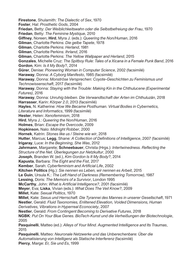**Firestone**, Shulamith: *The Dialectic of Sex*, 1970 **Foster**, Hal: *Prosthetic Gods*, 2004 **Friedan**, Betty: *Der Weiblichkeitswahn oder die Selbstbefreiung der Frau*, 1970 **Friedan**, Betty: *The Feminine Mystique*, 2010 **Giffney**, Noreen; **Hird**, Myra J. (eds.): *Queering the Non/Human*, 2016 **Gilman**, Charlotte Perkins: *Die gelbe Tapete*, 1978 **Gilman**, Charlotte Perkins: *Herland*, 1981 **Gilman**, Charlotte Perkins: *Ihrland*, 2016 **Gilman**, Charlotte Perkins: *The Yellow Wallpaper and Herland*, 2015 **Gonzales**, Michelle Cruz: *The Spitboy Rule: Tales of a Xicana in a Female Punk Band*, 2016 **Gordon**, Kim: *Is it My Body*?, 2014 **Gürer**, Denise: *Pioneering Woman in Computer Science*, 2002 (facsimilé) **Haraway**, Donna: *A Cyborg Manifesto*, 1985 (facsimilé) **Haraway**, Donna: *Monströse Versprechen: Coyote-Geschichten zu Feminismus und Technowissenschaft*, 2017 (facsimilé) **Haraway**, Donna: *Staying with the Trouble: Making Kin in the Chthulucene (Experimental Futures)*, 2016 **Haraway**, Donna: *Unruhig bleiben. Die Verwandtschaft der Arten im Chthuluzän*, 2018 **Harrasser**, Karin: *Körper 2.0*, 2013 (facsimilé) **Hayles**, N. Katherine: *How We Became Posthuman. Virtual Bodies in Cybernetics, Literature and Informatics*, 1999 (facsimilé) **Hester**, Helen: *Xenofeminism*, 2018 **Hird**, Myra J.: *Queering the Non/Human*, 2016 **Holmes**, Brian: *Escape the Overcode*, 2009 **Hopkinson**, Nalo: *Midnight Robber*, 2000 **Hornek**, Katrin: *Stones like us / Steine wie wir*, 2018 **Hutter**, Marcus; **Legg**, Shane: *A Collection of Definitions of Intelligence*, 2007 (facsimilé) **Irigaray**, Luce: *In the Beginning, She Was*, 2012 **Jahrmann**, Margarete; **Schneebauer**, Christa (Hrgs.): *Intertwinedness. Reflecting the Structure of the Net. Überlegungen zur Netzkultur*, 2000 **Joseph**, Branden W. (ed.), *Kim Gordon Is It My Body?*, 2014 **Kapusta**, Barbara: *The Eight and the Fist*, 2017 **Kember**, Sarah: *Cyberfeminism and Artificial Life*, 2002 **Kitchen Politics** (Hg.): *Sie nennen es Leben, wir nennen es Arbeit*, 2015 **Le Guin**, Ursula K.: *The Left Hand of Darkness (Remembering Tomorrow)*, 1987 **Lessing**, Doris: *The Memoirs of a Survivor*, London 1995 **McCarthy**, John: *What is Artificial Intelligence?*, 2001 (facsimilé) **Meyer**, Eva; **Liska**, Vivian (eds.): *What Does The Veil Know?*, 2009 **Millet**, Kate: *Sexual Politics*, 1970 **Millet**, Kate: *Sexus und Herrschaft. Die Tyrannei des Mannes in unserer Gesellschaft*, 1971 **Nestler**, Gerald: *Fluid Taxonomies, Enlitened Elevation, Voided Dimensions, Human Derivatives, Vibrations in Hyperreal Econociety*, 2007 **Nestler**, Gerald: *From Contingent Becoming to Derivative Futures*, 2018 **NGBK**: *Put On Your Blue Genes. BioTech-Kunst und die Verheißungen der Biotechnologie*, 2005 **Pasquinelli**, Matteo (ed.): *Alleys of Your Mind. Augmented Intelligence and Its Traumas*, 2015 **Pasquinelli**, Matteo: *Neuronale Netzwerke und das Unberechenbare: Über die Automatisierung von Intelligenz als Statische Interferenz* (facsimilé)

**Piercy**, Marge: *Er, Sie und Es*, 1999